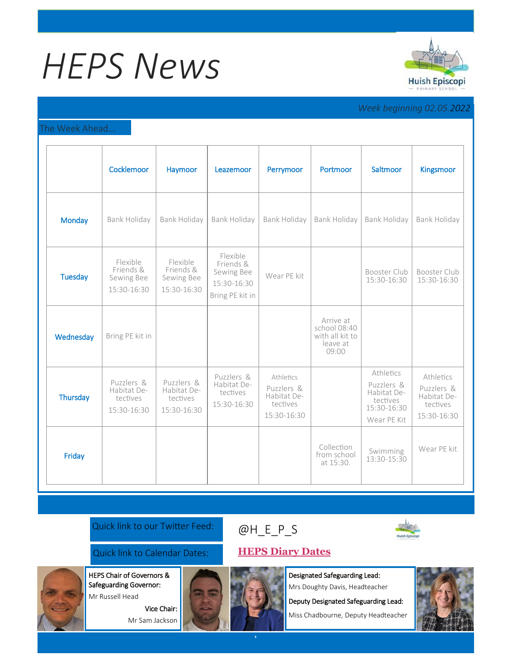# *HEPS News*



# *Week beginning 02.05.2022*

## The Week Ahead...

|                | Cocklemoor                                           | Haymoor                                              | Leazemoor                                                             | Perrymoor                                                         | Portmoor                                                          | Saltmoor                                                                         | Kingsmoor                                                         |
|----------------|------------------------------------------------------|------------------------------------------------------|-----------------------------------------------------------------------|-------------------------------------------------------------------|-------------------------------------------------------------------|----------------------------------------------------------------------------------|-------------------------------------------------------------------|
| <b>Monday</b>  | Bank Holiday                                         | Bank Holiday                                         | Bank Holiday                                                          | Bank Holiday                                                      | Bank Holiday                                                      | Bank Holiday                                                                     | Bank Holiday                                                      |
| <b>Tuesday</b> | Flexible<br>Friends &<br>Sewing Bee<br>15:30-16:30   | Flexible<br>Friends &<br>Sewing Bee<br>15:30-16:30   | Flexible<br>Friends &<br>Sewing Bee<br>15:30-16:30<br>Bring PE kit in | Wear PE kit                                                       |                                                                   | Booster Club<br>15:30-16:30                                                      | Booster Club<br>15:30-16:30                                       |
| Wednesday      | Bring PE kit in                                      |                                                      |                                                                       |                                                                   | Arrive at<br>school 08:40<br>with all kit to<br>leave at<br>09:00 |                                                                                  |                                                                   |
| Thursday       | Puzzlers &<br>Habitat De-<br>tectives<br>15:30-16:30 | Puzzlers &<br>Habitat De-<br>tectives<br>15:30-16:30 | Puzzlers &<br>Habitat De-<br>tectives<br>15:30-16:30                  | Athletics<br>Puzzlers &<br>Habitat De-<br>tectives<br>15:30-16:30 |                                                                   | Athletics<br>Puzzlers &<br>Habitat De-<br>tectives<br>15:30-16:30<br>Wear PE Kit | Athletics<br>Puzzlers &<br>Habitat De-<br>tectives<br>15:30-16:30 |
| Friday         |                                                      |                                                      |                                                                       |                                                                   | Collection<br>from school<br>at 15:30.                            | Swimming<br>13:30-15:30                                                          | Wear PE kit                                                       |

Quick link to our Twitter Feed:

# [@H\\_E\\_](https://huishepiscopiprimary.co.uk/diary-dates/)P\_S



Quick link to Calendar Dates: **[HEPS Diary Dates](https://huishepiscopiprimary.co.uk/diary-dates/)**

Vice Chair: Mr Sam Jackson

HEPS Chair of Governors & Safeguarding Governor: Mr Russell Head

Designated Safeguarding Lead:

Mrs Doughty Davis, Headteacher

Deputy Designated Safeguarding Lead:

Miss Chadbourne, Deputy Headteacher